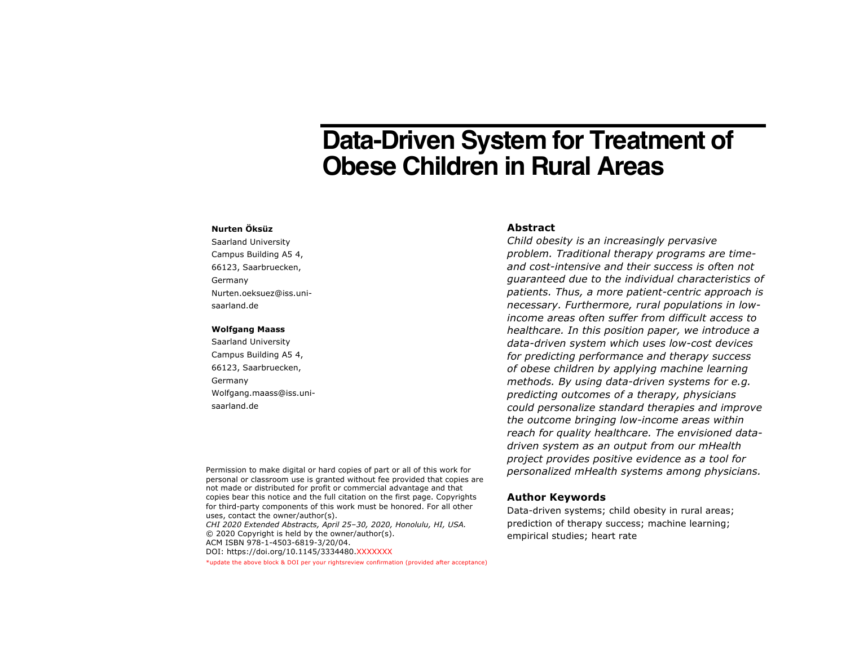# **Data-Driven System for Treatment of Obese Children in Rural Areas**

#### **Nurten Öksüz**

Saarland University Campus Building A5 4, 66123, Saarbruecken, Germany Nurten.oeksuez@iss.unisaarland.de

#### **Wolfgang Maass**

Saarland University Campus Building A5 4, 66123, Saarbruecken, Germany Wolfgang.maass@iss.unisaarland.de

## **Abstract**

*Child obesity is an increasingly pervasive problem. Traditional therapy programs are timeand cost-intensive and their success is often not guaranteed due to the individual characteristics of patients. Thus, a more patient-centric approach is necessary. Furthermore, rural populations in lowincome areas often suffer from difficult access to healthcare. In this position paper, we introduce a data-driven system which uses low-cost devices for predicting performance and therapy success of obese children by applying machine learning methods. By using data-driven systems for e.g. predicting outcomes of a therapy, physicians could personalize standard therapies and improve the outcome bringing low-income areas within reach for quality healthcare. The envisioned datadriven system as an output from our mHealth project provides positive evidence as a tool for personalized mHealth systems among physicians.* 

Permission to make digital or hard copies of part or all of this work for personal or classroom use is granted without fee provided that copies are not made or distributed for profit or commercial advantage and that copies bear this notice and the full citation on the first page. Copyrights for third-party components of this work must be honored. For all other uses, contact the owner/author(s). *CHI 2020 Extended Abstracts, April 25–30, 2020, Honolulu, HI, USA.* © 2020 Copyright is held by the owner/author(s).

ACM ISBN 978-1-4503-6819-3/20/04. DOI: https://doi.org/10.1145/3334480.XXXXXXX

\*update the above block & DOI per your rightsreview confirmation (provided after acceptance)

#### **Author Keywords**

Data-driven systems; child obesity in rural areas; prediction of therapy success; machine learning; empirical studies; heart rate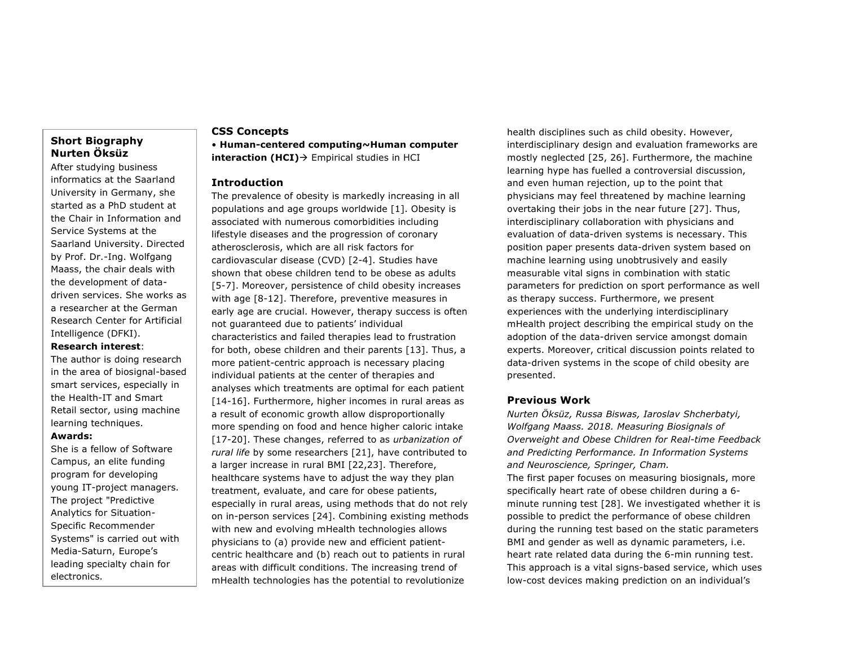# **Short Biography Nurten Öksüz**

After studying business informatics at the Saarland University in Germany, she started as a PhD student at the Chair in Information and Service Systems at the Saarland University. Directed by Prof. Dr.-Ing. Wolfgang Maass, the chair deals with the development of datadriven services. She works as a researcher at the German Research Center for Artificial Intelligence (DFKI).

# **Research interest**:

The author is doing research in the area of biosignal-based smart services, especially in the Health-IT and Smart Retail sector, using machine learning techniques.

### **Awards:**

She is a fellow of Software Campus, an elite funding program for developing young IT-project managers. The project "Predictive Analytics for Situation-Specific Recommender Systems" is carried out with Media-Saturn, Europe's leading specialty chain for electronics.

#### **CSS Concepts**

• **Human-centered computing~Human computer interaction (HCI)**→ Empirical studies in HCI

### **Introduction**

The prevalence of obesity is markedly increasing in all populations and age groups worldwide [1]. Obesity is associated with numerous comorbidities including lifestyle diseases and the progression of coronary atherosclerosis, which are all risk factors for cardiovascular disease (CVD) [2-4]. Studies have shown that obese children tend to be obese as adults [5-7]. Moreover, persistence of child obesity increases with age [8-12]. Therefore, preventive measures in early age are crucial. However, therapy success is often not guaranteed due to patients' individual characteristics and failed therapies lead to frustration for both, obese children and their parents [13]. Thus, a more patient-centric approach is necessary placing individual patients at the center of therapies and analyses which treatments are optimal for each patient [14-16]. Furthermore, higher incomes in rural areas as a result of economic growth allow disproportionally more spending on food and hence higher caloric intake [17-20]. These changes, referred to as *urbanization of rural life* by some researchers [21], have contributed to a larger increase in rural BMI [22,23]. Therefore, healthcare systems have to adjust the way they plan treatment, evaluate, and care for obese patients, especially in rural areas, using methods that do not rely on in-person services [24]. Combining existing methods with new and evolving mHealth technologies allows physicians to (a) provide new and efficient patientcentric healthcare and (b) reach out to patients in rural areas with difficult conditions. The increasing trend of mHealth technologies has the potential to revolutionize

health disciplines such as child obesity. However, interdisciplinary design and evaluation frameworks are mostly neglected [25, 26]. Furthermore, the machine learning hype has fuelled a controversial discussion, and even human rejection, up to the point that physicians may feel threatened by machine learning overtaking their jobs in the near future [27]. Thus, interdisciplinary collaboration with physicians and evaluation of data-driven systems is necessary. This position paper presents data-driven system based on machine learning using unobtrusively and easily measurable vital signs in combination with static parameters for prediction on sport performance as well as therapy success. Furthermore, we present experiences with the underlying interdisciplinary mHealth project describing the empirical study on the adoption of the data-driven service amongst domain experts. Moreover, critical discussion points related to data-driven systems in the scope of child obesity are presented.

#### **Previous Work**

*Nurten Öksüz, Russa Biswas, Iaroslav Shcherbatyi, Wolfgang Maass. 2018. Measuring Biosignals of Overweight and Obese Children for Real-time Feedback and Predicting Performance. In Information Systems and Neuroscience, Springer, Cham.* The first paper focuses on measuring biosignals, more specifically heart rate of obese children during a 6 minute running test [28]. We investigated whether it is possible to predict the performance of obese children during the running test based on the static parameters BMI and gender as well as dynamic parameters, i.e. heart rate related data during the 6-min running test. This approach is a vital signs-based service, which uses low-cost devices making prediction on an individual's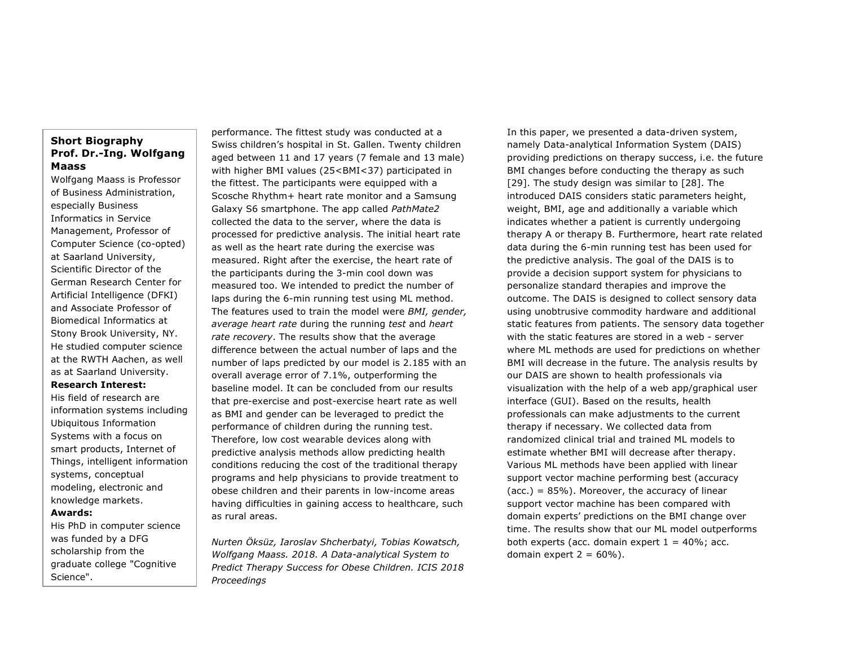# **Short Biography Prof. Dr.-Ing. Wolfgang Maass**

Wolfgang Maass is Professor of Business Administration, especially Business Informatics in Service Management, Professor of Computer Science (co-opted) at Saarland University, Scientific Director of the German Research Center for Artificial Intelligence (DFKI) and Associate Professor of Biomedical Informatics at Stony Brook University, NY. He studied computer science at the RWTH Aachen, as well as at Saarland University.

**Research Interest:**

His field of research are information systems including Ubiquitous Information Systems with a focus on smart products, Internet of Things, intelligent information systems, conceptual modeling, electronic and knowledge markets.

# **Awards:**

His PhD in computer science was funded by a DFG scholarship from the graduate college "Cognitive Science".

performance. The fittest study was conducted at a Swiss children's hospital in St. Gallen. Twenty children aged between 11 and 17 years (7 female and 13 male) with higher BMI values (25<BMI<37) participated in the fittest. The participants were equipped with a Scosche Rhythm+ heart rate monitor and a Samsung Galaxy S6 smartphone. The app called *PathMate2* collected the data to the server, where the data is processed for predictive analysis. The initial heart rate as well as the heart rate during the exercise was measured. Right after the exercise, the heart rate of the participants during the 3-min cool down was measured too. We intended to predict the number of laps during the 6-min running test using ML method. The features used to train the model were *BMI, gender, average heart rate* during the running *test* and *heart rate recovery*. The results show that the average difference between the actual number of laps and the number of laps predicted by our model is 2.185 with an overall average error of 7.1%, outperforming the baseline model. It can be concluded from our results that pre-exercise and post-exercise heart rate as well as BMI and gender can be leveraged to predict the performance of children during the running test. Therefore, low cost wearable devices along with predictive analysis methods allow predicting health conditions reducing the cost of the traditional therapy programs and help physicians to provide treatment to obese children and their parents in low-income areas having difficulties in gaining access to healthcare, such as rural areas.

*Nurten Öksüz, Iaroslav Shcherbatyi, Tobias Kowatsch, Wolfgang Maass. 2018. A Data-analytical System to Predict Therapy Success for Obese Children. ICIS 2018 Proceedings*

In this paper, we presented a data-driven system, namely Data-analytical Information System (DAIS) providing predictions on therapy success, i.e. the future BMI changes before conducting the therapy as such [29]. The study design was similar to [28]. The introduced DAIS considers static parameters height, weight, BMI, age and additionally a variable which indicates whether a patient is currently undergoing therapy A or therapy B. Furthermore, heart rate related data during the 6-min running test has been used for the predictive analysis. The goal of the DAIS is to provide a decision support system for physicians to personalize standard therapies and improve the outcome. The DAIS is designed to collect sensory data using unobtrusive commodity hardware and additional static features from patients. The sensory data together with the static features are stored in a web - server where ML methods are used for predictions on whether BMI will decrease in the future. The analysis results by our DAIS are shown to health professionals via visualization with the help of a web app/graphical user interface (GUI). Based on the results, health professionals can make adjustments to the current therapy if necessary. We collected data from randomized clinical trial and trained ML models to estimate whether BMI will decrease after therapy. Various ML methods have been applied with linear support vector machine performing best (accuracy  $(acc.) = 85\%)$ . Moreover, the accuracy of linear support vector machine has been compared with domain experts' predictions on the BMI change over time. The results show that our ML model outperforms both experts (acc. domain expert  $1 = 40\%$ ; acc. domain expert  $2 = 60\%$ ).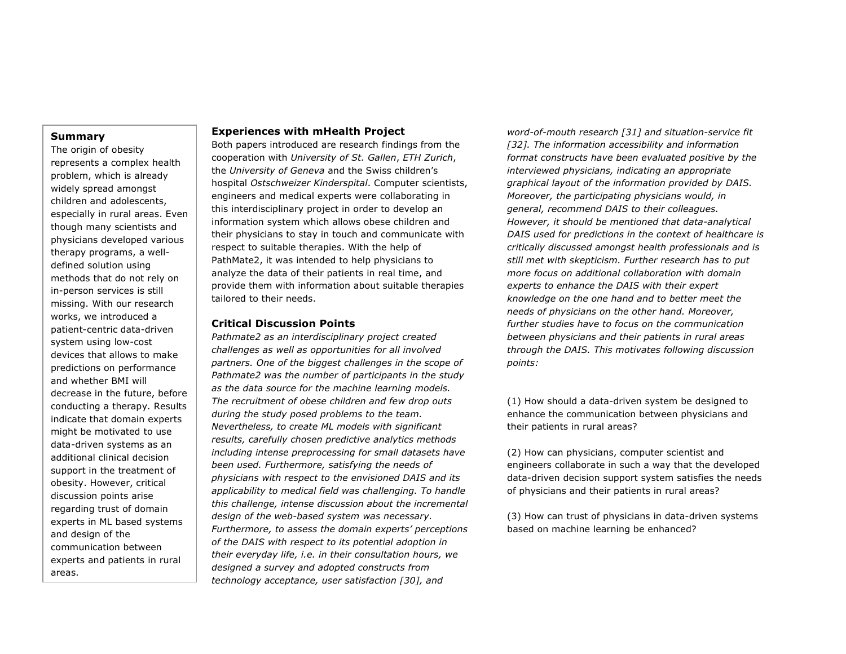#### **Summary**

The origin of obesity represents a complex health problem, which is already widely spread amongst children and adolescents, especially in rural areas. Even though many scientists and physicians developed various therapy programs, a welldefined solution using methods that do not rely on in-person services is still missing. With our research works, we introduced a patient-centric data-driven system using low-cost devices that allows to make predictions on performance and whether BMI will decrease in the future, before conducting a therapy. Results indicate that domain experts might be motivated to use data-driven systems as an additional clinical decision support in the treatment of obesity. However, critical discussion points arise regarding trust of domain experts in ML based systems and design of the communication between experts and patients in rural areas.

## **Experiences with mHealth Project**

Both papers introduced are research findings from the cooperation with *University of St. Gallen*, *ETH Zurich*, the *University of Geneva* and the Swiss children's hospital *Ostschweizer Kinderspital*. Computer scientists, engineers and medical experts were collaborating in this interdisciplinary project in order to develop an information system which allows obese children and their physicians to stay in touch and communicate with respect to suitable therapies. With the help of PathMate2, it was intended to help physicians to analyze the data of their patients in real time, and provide them with information about suitable therapies tailored to their needs.

## **Critical Discussion Points**

*Pathmate2 as an interdisciplinary project created challenges as well as opportunities for all involved partners. One of the biggest challenges in the scope of Pathmate2 was the number of participants in the study as the data source for the machine learning models. The recruitment of obese children and few drop outs during the study posed problems to the team. Nevertheless, to create ML models with significant results, carefully chosen predictive analytics methods including intense preprocessing for small datasets have been used. Furthermore, satisfying the needs of physicians with respect to the envisioned DAIS and its applicability to medical field was challenging. To handle this challenge, intense discussion about the incremental design of the web-based system was necessary. Furthermore, to assess the domain experts' perceptions of the DAIS with respect to its potential adoption in their everyday life, i.e. in their consultation hours, we designed a survey and adopted constructs from technology acceptance, user satisfaction [30], and* 

*word-of-mouth research [31] and situation-service fit [32]. The information accessibility and information format constructs have been evaluated positive by the interviewed physicians, indicating an appropriate graphical layout of the information provided by DAIS. Moreover, the participating physicians would, in general, recommend DAIS to their colleagues. However, it should be mentioned that data-analytical DAIS used for predictions in the context of healthcare is critically discussed amongst health professionals and is still met with skepticism. Further research has to put more focus on additional collaboration with domain experts to enhance the DAIS with their expert knowledge on the one hand and to better meet the needs of physicians on the other hand. Moreover, further studies have to focus on the communication between physicians and their patients in rural areas through the DAIS. This motivates following discussion points:*

(1) How should a data-driven system be designed to enhance the communication between physicians and their patients in rural areas?

(2) How can physicians, computer scientist and engineers collaborate in such a way that the developed data-driven decision support system satisfies the needs of physicians and their patients in rural areas?

(3) How can trust of physicians in data-driven systems based on machine learning be enhanced?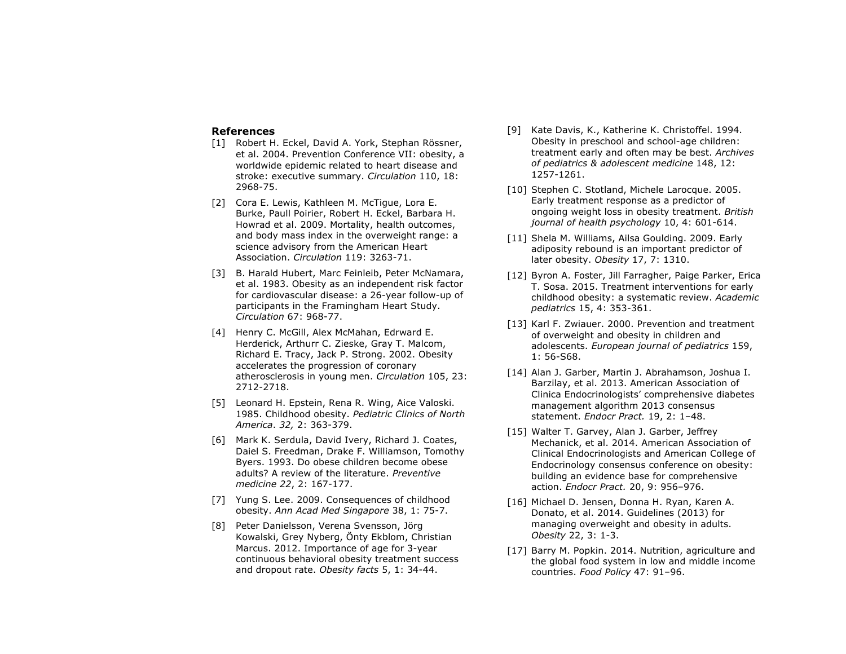#### **References**

- [1] Robert H. Eckel, David A. York, Stephan Rössner, et al. 2004. Prevention Conference VII: obesity, a worldwide epidemic related to heart disease and stroke: executive summary. *Circulation* 110, 18: 2968-75.
- [2] Cora E. Lewis, Kathleen M. McTique, Lora E. Burke, Paull Poirier, Robert H. Eckel, Barbara H. Howrad et al. 2009. Mortality, health outcomes, and body mass index in the overweight range: a science advisory from the American Heart Association. *Circulation* 119: 3263-71.
- [3] B. Harald Hubert, Marc Feinleib, Peter McNamara, et al. 1983. Obesity as an independent risk factor for cardiovascular disease: a 26-year follow-up of participants in the Framingham Heart Study. *Circulation* 67: 968-77.
- [4] Henry C. McGill, Alex McMahan, Edrward E. Herderick, Arthurr C. Zieske, Gray T. Malcom, Richard E. Tracy, Jack P. Strong. 2002. Obesity accelerates the progression of coronary atherosclerosis in young men. *Circulation* 105, 23: 2712-2718.
- [5] Leonard H. Epstein, Rena R. Wing, Aice Valoski. 1985. Childhood obesity. *Pediatric Clinics of North America*. *32,* 2: 363-379.
- [6] Mark K. Serdula, David Ivery, Richard J. Coates, Daiel S. Freedman, Drake F. Williamson, Tomothy Byers. 1993. Do obese children become obese adults? A review of the literature. *Preventive medicine 22*, 2: 167-177.
- [7] Yung S. Lee. 2009. Consequences of childhood obesity. *Ann Acad Med Singapore* 38, 1: 75-7.
- [8] Peter Danielsson, Verena Svensson, Jörg Kowalski, Grey Nyberg, Önty Ekblom, Christian Marcus. 2012. Importance of age for 3-year continuous behavioral obesity treatment success and dropout rate. *Obesity facts* 5, 1: 34-44.
- [9] Kate Davis, K., Katherine K. Christoffel. 1994. Obesity in preschool and school-age children: treatment early and often may be best. *Archives of pediatrics & adolescent medicine* 148, 12: 1257-1261.
- [10] Stephen C. Stotland, Michele Larocque. 2005. Early treatment response as a predictor of ongoing weight loss in obesity treatment. *British journal of health psychology* 10, 4: 601-614.
- [11] Shela M. Williams, Ailsa Goulding. 2009. Early adiposity rebound is an important predictor of later obesity. *Obesity* 17, 7: 1310.
- [12] Byron A. Foster, Jill Farragher, Paige Parker, Erica T. Sosa. 2015. Treatment interventions for early childhood obesity: a systematic review. *Academic pediatrics* 15, 4: 353-361.
- [13] Karl F. Zwiauer. 2000. Prevention and treatment of overweight and obesity in children and adolescents. *European journal of pediatrics* 159, 1: 56-S68.
- [14] Alan J. Garber, Martin J. Abrahamson, Joshua I. Barzilay, et al. 2013. American Association of Clinica Endocrinologists' comprehensive diabetes management algorithm 2013 consensus statement. *Endocr Pract.* 19, 2: 1–48.
- [15] Walter T. Garvey, Alan J. Garber, Jeffrey Mechanick, et al. 2014. American Association of Clinical Endocrinologists and American College of Endocrinology consensus conference on obesity: building an evidence base for comprehensive action. *Endocr Pract.* 20, 9: 956–976.
- [16] Michael D. Jensen, Donna H. Ryan, Karen A. Donato, et al. 2014. Guidelines (2013) for managing overweight and obesity in adults. *Obesity* 22, 3: 1-3.
- [17] Barry M. Popkin. 2014. Nutrition, agriculture and the global food system in low and middle income countries. *Food Policy* 47: 91–96.